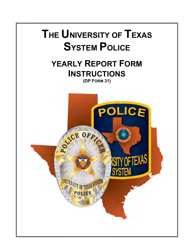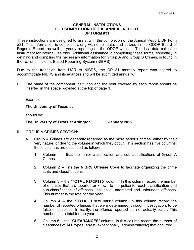## **GENERAL INSTRUCTIONS FOR COMPLETION OF THE ANNUAL REPORT DP FORM #31**

These instructions are designed to assist with the completion of the Annual Report, DP Form #31. This information is compiled, along with other data, and utilized in the ODOP Board of Regents Report, as well as yearly reporting on the ODOP website. This is a data collection instrument for internal use only. Additional assistance in completing these forms, especially in defining and compiling the necessary information for Group A and Group B Crimes, is found in the National Incident-Based Reporting System (NIBRS).

Due to the transition from UCR to NIBRS, the DP 31 monthly report was altered to accommodate NIBRS and its nuances and will be submitted annually.

I. The name of the component institution and the year covered by each report should be inserted in the space provided at the top of page 1.

Example:

**The University of Texas at**

should be:

## **The University of Texas at Arlington January 2022**

- II. GROUP A CRIMES SECTION:
	- A. Group A Crimes are generally regarded as the more serious crimes, either by their very nature, or due to the volume in which they occur. This section has five columns; these columns are described as follows:
		- 1. Column 1 -- lists the major classification and sub-classifications of Group A **Crimes**
		- 2. Column 2 -- lists the **NIBRS Offense Code** to facilitate organizing the crime stats and classifications.
		- 3. Column 3 -- the "**TOTAL REPORTED**" column. In this column record the number of offenses that are reported or known to the police for each classification and sub-classification of offenses. Include all attempted and unfounded offenses. This number is the total for the year.
		- 4. Column 4 -- the "**TOTAL UNFOUNDED**" column. In this column record the number of reported offenses that were determined, through investigation, to be false or baseless. In reality, the offense reported did not actually occur. This number is the total for the year.
		- 5. Column 5 -- the "**CLEARANCES**" column. In this column record the number of clearances of ALL types (arrest, exceptionally, administratively) that occurred.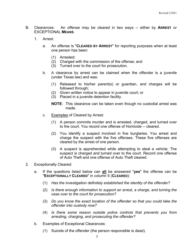- B. Clearances: An offense may be cleared in two ways -- either by **ARREST** or EXCEPTIONAL **MEANS**.
	- 1. Arrest:
		- a. An offense is "**CLEARED BY ARREST**" for reporting purposes when at least one person has been:
			- (1) Arrested;
			- (2) Charged with the commission of the offense; and
			- (3) Turned over to the court for prosecution.
		- b. A clearance by arrest can be claimed when the offender is a juvenile (under Texas law) and was:
			- (1) Released to his/her parent(s) or guardian, and charges will be followed through;
			- (2) Given written notice to appear in juvenile court; or
			- (3) Placed in a juvenile detention facility.
			- **NOTE**: This clearance can be taken even though no custodial arrest was made.
		- c. Examples of Cleared by Arrest:
			- (1) A person commits murder and is arrested, charged, and turned over to the court. You record one offense of Homicide -- cleared.
			- (2) You identify a suspect involved in five burglaries. You arrest and charge the suspect with the five offenses. These five offenses are cleared by the arrest of one person.
			- (3) A suspect is apprehended while attempting to steal a vehicle. The suspect is charged and turned over to the court. Record one offense of Auto Theft and one offense of Auto Theft cleared.
- 2. Exceptionally Cleared:
	- a. If the questions listed below can **all** be answered "**yes**" the offense can be "**EXCEPTIONALLY CLEARED**" in column 5 (**CLEARED**):
		- (1) *Has the investigation definitely established the identity of the offender?*
		- (2) *Is there enough information to support an arrest, a charge, and turning the case over to the court for prosecution?*
		- (3) *Do you know the exact location of the offender so that you could take the offender into custody now?*
		- (4) *Is there some reason outside police controls that prevents you from arresting, charging, and prosecuting the offender?*
	- b. Examples of Exceptional Clearances:
		- (1) Suicide of the offender (the person responsible is dead).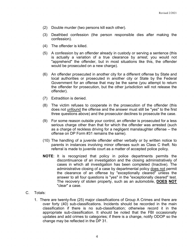- (2) Double murder (two persons kill each other).
- (3) Deathbed confession (the person responsible dies after making the confession).
- (4) The offender is killed.
- (5) A confession by an offender already in custody or serving a sentence (this is actually a variation of a true clearance by arrest; you would not "apprehend" the offender, but in most situations like this, the offender would be prosecuted on a new charge).
- (6) An offender prosecuted in another city for a different offense by State and local authorities or prosecuted in another city or State by the Federal Government for an offense that may be the same (you attempt to return the offender for prosecution, but the other jurisdiction will not release the offender).
- (7) Extradition is denied.
- (8) The victim refuses to cooperate in the prosecution of the offender (this does not unfound the offense and the answer must still be "yes" to the first three questions above) and the prosecutor declines to prosecute the case.
- (9) For some reason outside your control, an offender is prosecuted for a less serious charge other than that for which the offender was arrested (such as a charge of reckless driving for a negligent manslaughter offense -- the offense on DP Form #31 remains the same).
- (10) The handling of a juvenile offender either verbally or by written notice to parents in instances involving minor offenses such as Class C theft. No referral is made to juvenile court as a matter of accepted police policy.
- **NOTE**: It is recognized that policy in police departments permits the discontinuance of an investigation and the closing administratively of cases in which all investigation has been completed (Inactive). The administrative closing of a case by departmental policy does not permit the clearance of an offense by "exceptionally cleared" unless the answer to all four questions is "yes" in the "exceptionally cleared" test. The recovery of stolen property, such as an automobile, **DOES NOT** "clear" a case.
- C. Totals:
	- 1. There are twenty-five (25) major classifications of Group A Crimes and there are over forty (40) sub-classifications. Incidents should be recorded in the main classification if there is no sub-classification; otherwise record it in the appropriate sub-classification. It should be noted that the FBI occasionally updates and add crimes to categories; if there is a change, notify ODOP so the change may be reflected in the DP 31.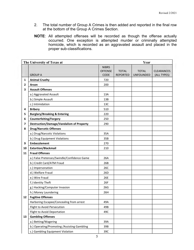- 2. The total number of Group A Crimes is then added and reported in the final row at the bottom of the Group A Crimes Section.
- **NOTE**: All attempted offenses will be recorded as though the offense actually occurred. One exception is attempted murder or criminally attempted homicide, which is recorded as an aggravated assault and placed in the proper sub-classifications.

| The University of Texas at |                                                 | Year           |                 |                  |                   |
|----------------------------|-------------------------------------------------|----------------|-----------------|------------------|-------------------|
|                            |                                                 | <b>NIBRS</b>   |                 |                  |                   |
|                            |                                                 | <b>OFFENSE</b> | <b>TOTAL</b>    | <b>TOTAL</b>     | <b>CLEARANCES</b> |
|                            | <b>GROUP A</b>                                  | <b>CODE</b>    | <b>REPORTED</b> | <b>UNFOUNDED</b> | (ALL TYPES)       |
| 1                          | <b>Animal Cruelty</b>                           | 720            |                 |                  |                   |
| 2                          | Arson                                           | 200            |                 |                  |                   |
| 3                          | <b>Assault Offenses</b>                         |                |                 |                  |                   |
|                            | a.) Aggravated Assault                          | 13A            |                 |                  |                   |
|                            | b.) Simple Assault                              | 13B            |                 |                  |                   |
|                            | c.) Intimidation                                | 13C            |                 |                  |                   |
| 4                          | <b>Bribery</b>                                  | 510            |                 |                  |                   |
| 5                          | <b>Burglary/Breaking &amp; Entering</b>         | 220            |                 |                  |                   |
| 6                          | <b>Counterfeiting/Forgery</b>                   | 250            |                 |                  |                   |
| 7                          | <b>Destruction/Damage/Vandalism of Property</b> | 290            |                 |                  |                   |
| 8                          | <b>Drug/Narcotic Offenses</b>                   |                |                 |                  |                   |
|                            | a.) Drug/Narcotic Violations                    | 35A            |                 |                  |                   |
|                            | b.) Drug Equipment Violations                   | 35B            |                 |                  |                   |
| 9                          | <b>Embezzlement</b>                             | 270            |                 |                  |                   |
| 10                         | <b>Extortion/Blackmail</b>                      | 210            |                 |                  |                   |
| 11                         | <b>Fraud Offenses</b>                           |                |                 |                  |                   |
|                            | a.) False Pretenses/Swindle/Confidence Game     | 26A            |                 |                  |                   |
|                            | b.) Credit Card/ATM Fraud                       | 26B            |                 |                  |                   |
|                            | c.) Impersonation                               | 26C            |                 |                  |                   |
|                            | d.) Welfare Fraud                               | 26D            |                 |                  |                   |
|                            | e.) Wire Fraud                                  | 26E            |                 |                  |                   |
|                            | f.) Identity Theft                              | 26F            |                 |                  |                   |
|                            | g.) Hacking/Computer Invasion                   | 26G            |                 |                  |                   |
|                            | h.) Money Laundering                            | 26H            |                 |                  |                   |
| 12                         | <b>Fugitive Offenses</b>                        |                |                 |                  |                   |
|                            | Harboring Escapee/Concealing from arrest        | 49A            |                 |                  |                   |
|                            | Flight to Avoid Persecution                     | 49B            |                 |                  |                   |
|                            | Flight to Avoid Deportation                     | 49C            |                 |                  |                   |
| 13                         | <b>Gambling Offenses</b>                        |                |                 |                  |                   |
|                            | a.) Betting/Wagering                            | 39A            |                 |                  |                   |
|                            | b.) Operating/Promoting /Assisting Gambling     | 39B            |                 |                  |                   |
|                            | c.) Gambling Equipment Violation                | 39C            |                 |                  |                   |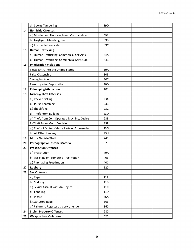|    | d.) Sports Tampering                            | 39D             |  |  |
|----|-------------------------------------------------|-----------------|--|--|
| 14 | <b>Homicide Offenses</b>                        |                 |  |  |
|    | a.) Murder and Non-Negligent Manslaughter       | 09A             |  |  |
|    | b.) Negligent Manslaughter                      | 09B             |  |  |
|    | c.) Justifiable Homicide                        | 09C             |  |  |
| 15 | <b>Human Trafficking</b>                        |                 |  |  |
|    | a.) Human Trafficking, Commercial Sex Acts      | 64A             |  |  |
|    | b.) Human Trafficking, Commercial Servitude     | 64B             |  |  |
| 16 | <b>Immigration Violations</b>                   |                 |  |  |
|    | Illegal Entry into the United States            | 30A             |  |  |
|    | False Citizenship                               | 30B             |  |  |
|    | <b>Smuggling Aliens</b>                         | 30C             |  |  |
|    | Re-entry after Deportation                      | 30 <sub>D</sub> |  |  |
| 17 | Kidnapping/Abduction                            | 100             |  |  |
| 18 | <b>Larceny/Theft Offenses</b>                   |                 |  |  |
|    | a.) Pocket Picking                              | 23A             |  |  |
|    | b.) Purse-snatching                             | 23B             |  |  |
|    | c.) Shoplifting                                 | 23C             |  |  |
|    | d.) Theft From Building                         | 23D             |  |  |
|    | e.) Theft from Coin Operated Machine/Device     | 23E             |  |  |
|    | f.) Theft From Motor Vehicle                    | 23F             |  |  |
|    | g.) Theft of Motor Vehicle Parts or Accessories | 23G             |  |  |
|    | h.) All Other Larceny                           | 23H             |  |  |
| 19 | <b>Motor Vehicle Theft</b>                      | 240             |  |  |
| 20 | Pornography/Obscene Material                    | 370             |  |  |
| 21 | <b>Prostitution Offenses</b>                    |                 |  |  |
|    | a.) Prostitution                                | 40A             |  |  |
|    | b.) Assisting or Promoting Prostitution         | 40B             |  |  |
|    | c.) Purchasing Prostitution                     | 40C             |  |  |
| 22 | Robbery                                         | 120             |  |  |
| 23 | <b>Sex Offenses</b>                             |                 |  |  |
|    | a.) Rape                                        | 11A             |  |  |
|    | b.) Sodomy                                      | 11B             |  |  |
|    | c.) Sexual Assault with An Object               | 11C             |  |  |
|    | d.) Fondling                                    | 11D             |  |  |
|    | e.) Incest                                      | 36A             |  |  |
|    | f.) Statutory Rape                              | 36B             |  |  |
|    | g.) Failure to Register as a sex offender       | 360             |  |  |
| 24 | <b>Stolen Property Offenses</b>                 | 280             |  |  |
| 25 | <b>Weapon Law Violations</b>                    | 520             |  |  |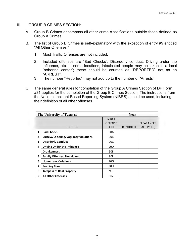- III. GROUP B CRIMES SECTION:
	- A. Group B Crimes encompass all other crime classifications outside those defined as Group A Crimes.
	- B. The list of Group B Crimes is self-explanatory with the exception of entry #9 entitled "All Other Offenses."
		- 1. Most Traffic Offenses are not included.
		- 2. Included offenses are "Bad Checks", Disorderly conduct, Driving under the influence, etc. In some locations, intoxicated people may be taken to a local "sobering center"; these should be counted as "REPORTED" not as an "ARREST".
		- 3. The number "Reported" may not add up to the number of "Arrests"
	- C. The same general rules for completion of the Group A Crimes Section of DP Form #31 applies for the completion of the Group B Crimes Section. The instructions from the National Incident-Based Reporting System (NIBRS) should be used, including their definition of all other offenses.

|   | The University of Texas at                  | Year                                          |                 |                                  |  |
|---|---------------------------------------------|-----------------------------------------------|-----------------|----------------------------------|--|
|   | <b>GROUP B</b>                              | <b>NIBRS</b><br><b>OFFENSE</b><br><b>CODE</b> | <b>REPORTED</b> | <b>CLEARANCES</b><br>(ALL TYPES) |  |
| 1 | <b>Bad Checks</b>                           | 90A                                           |                 |                                  |  |
| 2 | <b>Curfew/Loitering/Vagrancy Violations</b> | 90B                                           |                 |                                  |  |
| 3 | <b>Disorderly Conduct</b>                   | 90C                                           |                 |                                  |  |
| 4 | <b>Driving Under the Influence</b>          | 90 <sub>D</sub>                               |                 |                                  |  |
|   | <b>Drunkenness</b>                          | 90E                                           |                 |                                  |  |
| 5 | <b>Family Offenses, Nonviolent</b>          | 90F                                           |                 |                                  |  |
| 6 | <b>Liquor Law Violations</b>                | 90G                                           |                 |                                  |  |
| 7 | <b>Peeping Tom</b>                          | 90H                                           |                 |                                  |  |
| 8 | <b>Trespass of Real Property</b>            | <b>90J</b>                                    |                 |                                  |  |
| 9 | <b>All Other Offenses</b>                   | 90Z                                           |                 |                                  |  |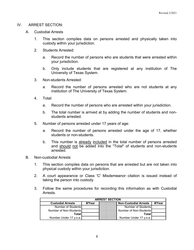# IV. ARREST SECTION:

- A. Custodial Arrests
	- 1. This section compiles data on persons arrested and physically taken into custody within your jurisdiction.
	- 2. Students Arrested:
		- a. Record the number of persons who are students that were arrested within your jurisdiction.
		- b. Only include students that are registered at any institution of The University of Texas System.
	- 3. Non-students Arrested:
		- a. Record the number of persons arrested who are not students at any institution of The University of Texas System.
	- 4. Total:
		- a. Record the number of persons who are arrested within your jurisdiction.
		- b. The total number is arrived at by adding the number of students and nonstudents arrested.
	- 5. Number of persons arrested under 17 years of age:
		- a. Record the number of persons arrested under the age of 17, whether students or non-students.
		- b. This number is already included in the total number of persons arrested and should not be added into the "Total" of students and non-students arrested.
- B. Non-custodial Arrests
	- 1. This section compiles data on persons that are arrested but are not taken into physical custody within your jurisdiction.
	- 2. A court appearance or Class 'C' Misdemeanor citation is issued instead of taking the person into custody.
	- 3. Follow the same procedures for recording this information as with Custodial Arrests.

| <b>ARREST SECTION</b>    |        |  |                              |        |
|--------------------------|--------|--|------------------------------|--------|
| <b>Custodial Arrests</b> | #/Year |  | <b>Non-Custodial Arrests</b> | #/Year |
| Number of Students       |        |  | Number of Students           |        |
| Number of Non-Students   |        |  | Number of Non-Students       |        |
| Totall                   |        |  | Totall                       |        |
| Number Under 17 y.o.a.   |        |  | Number Under 17 y.o.a.       |        |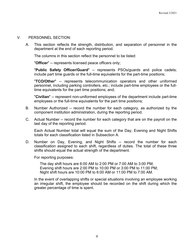## V. PERSONNEL SECTION:

A. This section reflects the strength, distribution, and separation of personnel in the department at the end of each reporting period.

The columns in this section reflect the personnel to be listed:

"**Officer**" -- represents licensed peace officers only;

"**Public Safety Officer/Guard**" -- represents PSOs/guards and police cadets; include part time guards or the full-time equivalents for the part-time positions;

"**TCO/Other**" -- represents telecommunication operators and other uniformed personnel, including parking controllers, etc.; include part-time employees or the fulltime equivalents for the part time positions; and;

"**Civilian**" -- represent non-uniformed employees of the department include part-time employees or the full-time equivalents for the part time positions;

- B. Number Authorized -- record the number for each category, as authorized by the component institution administration, during the reporting period.
- C. Actual Number -- record the number for each category that are on the payroll on the last day of the reporting period.

Each Actual Number total will equal the sum of the Day, Evening and Night Shifts totals for each classification listed in Subsection A.

D. Number on Day, Evening, and Night Shifts -- record the number for each classification assigned to each shift, regardless of duties. The total of these three shifts should equal the actual strength of the department.

For reporting purposes:

The day shift hours are 6:00 AM to 2:00 PM or 7:00 AM to 3:00 PM; Evening shift hours are 2:00 PM to 10:00 PM or 3:00 PM to 11:00 PM; Night shift hours are 10:00 PM to 6:00 AM or 11:00 PM to 7:00 AM.

In the event of overlapping shifts or special situations involving an employee working an irregular shift, the employee should be recorded on the shift during which the greater percentage of time is spent.